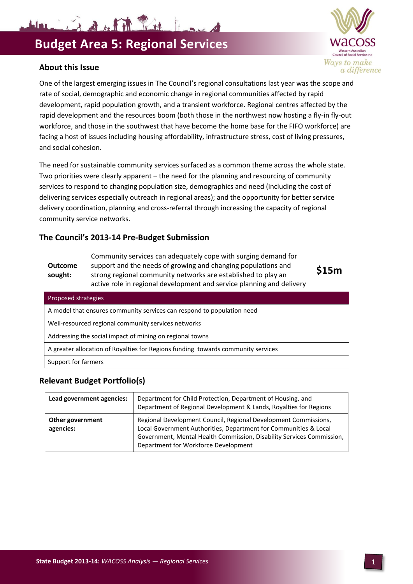11 is a filed to be in which

#### **About this Issue**

One of the largest emerging issues in The Council's regional consultations last year was the scope and rate of social, demographic and economic change in regional communities affected by rapid development, rapid population growth, and a transient workforce. Regional centres affected by the rapid development and the resources boom (both those in the northwest now hosting a fly-in fly-out workforce, and those in the southwest that have become the home base for the FIFO workforce) are facing a host of issues including housing affordability, infrastructure stress, cost of living pressures, and social cohesion.

The need for sustainable community services surfaced as a common theme across the whole state. Two priorities were clearly apparent – the need for the planning and resourcing of community services to respond to changing population size, demographics and need (including the cost of delivering services especially outreach in regional areas); and the opportunity for better service delivery coordination, planning and cross-referral through increasing the capacity of regional community service networks.

## **The Council's 2013-14 Pre-Budget Submission**

**Outcome sought:** Community services can adequately cope with surging demand for support and the needs of growing and changing populations and strong regional community networks are established to play an active role in regional development and service planning and delivery

Proposed strategies A model that ensures community services can respond to population need Well-resourced regional community services networks Addressing the social impact of mining on regional towns

A greater allocation of Royalties for Regions funding towards community services

Support for farmers

## **Relevant Budget Portfolio(s)**

| Lead government agencies:     | Department for Child Protection, Department of Housing, and<br>Department of Regional Development & Lands, Royalties for Regions                                                                                                                     |
|-------------------------------|------------------------------------------------------------------------------------------------------------------------------------------------------------------------------------------------------------------------------------------------------|
| Other government<br>agencies: | Regional Development Council, Regional Development Commissions,<br>Local Government Authorities, Department for Communities & Local<br>Government, Mental Health Commission, Disability Services Commission,<br>Department for Workforce Development |



**\$15m**